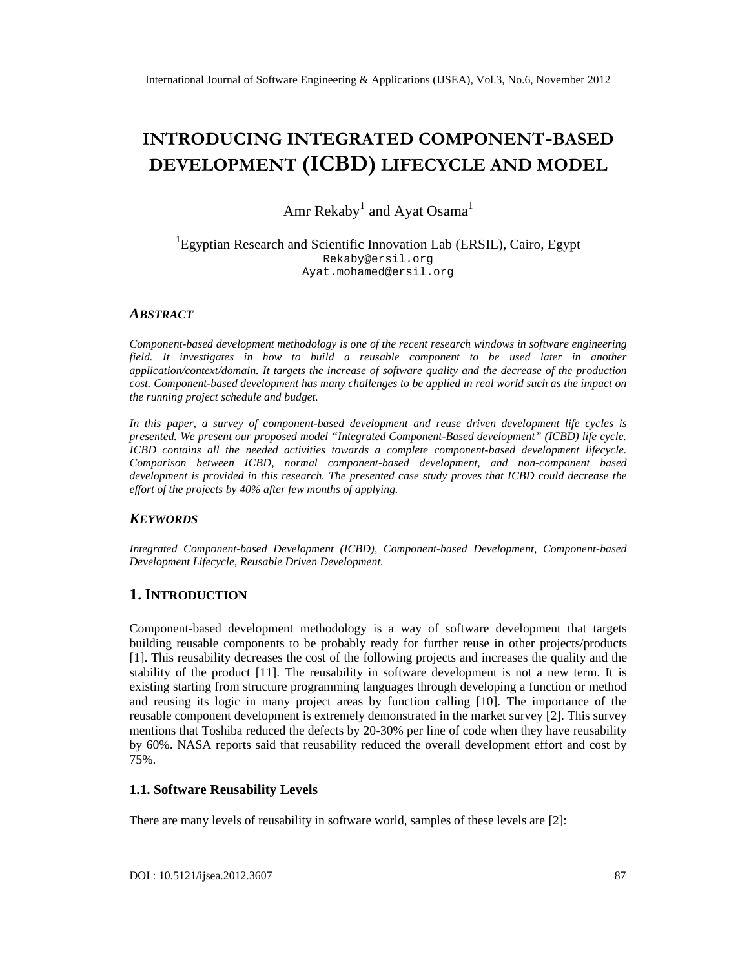# INTRODUCING INTEGRGAOTMPONENATSED DEVELOPME(NCBD) FECYCLE AND MODEL

## Amr Rekaby andAyat Osama

#### <sup>1</sup>EgyptianResearch an&cientific InnovationLab (ERSIL), Cairo, Egypt [Rekaby@ersil.org](mailto:Rekaby@ersil.org) Ayat.[mohamed@ersil.org](mailto:mohamed@ersil.org)

#### ABSTRACT

Componenbased development methodology is one of the recent research windows in software engineering field. It investigates in how to build a reusable component to be used later in another application/context/domainlt targetsthe increase of oftware quality and he decrease of he production cost.Componenbased development has many challenges to be applied in real world such as the impact on the running project schedule and budget.

In this paper, a survey of componebased development and reuse driven development lifesciecle presented. We presentour proposed modet Integrated Componen assed development• (ICBD) life cycle. ICBD contains all the needed activities towardscomplete componentbased development lifecycle. Comparison between ICBD, normal component development, and nonmponent based development is provided in this researd the presented case study proves that ICBD could decrease the effort of the projects by 40% aftfew monthsof applying.

#### **KEYWORDS**

Integrated Componertiased Development (ICBD), Componbated Development, Componbatsed Development Lifecycle, Reusable Driven Development.

#### 1.I NTRODUCTION

Componentbased development nethodology is a way of sortare development that targets building reusable components to be probably ready that reuse in other projects/products [1]. This reusability decreases the cost of to the wing projects and increas the qualityand the stability of the product<sup>[11]</sup>. The reusability in software development is not a new terms It existing starting from structure programming quagesthroughdeveloping a function method and reusing its logic in many project areas by function calling [ The importance of the reusable component development stremely demonstrated in the market survey This survey mentions that Toshiba reduced the defects b\$02% per line of code when they have reusability by 60%. NASA report said that reusability redude the overall devel pment effort and cost by 75%.

#### 1.1.Software Reusability Levels

There are many levels of reusability in software world, samples of these lev<sup>[2]</sup> are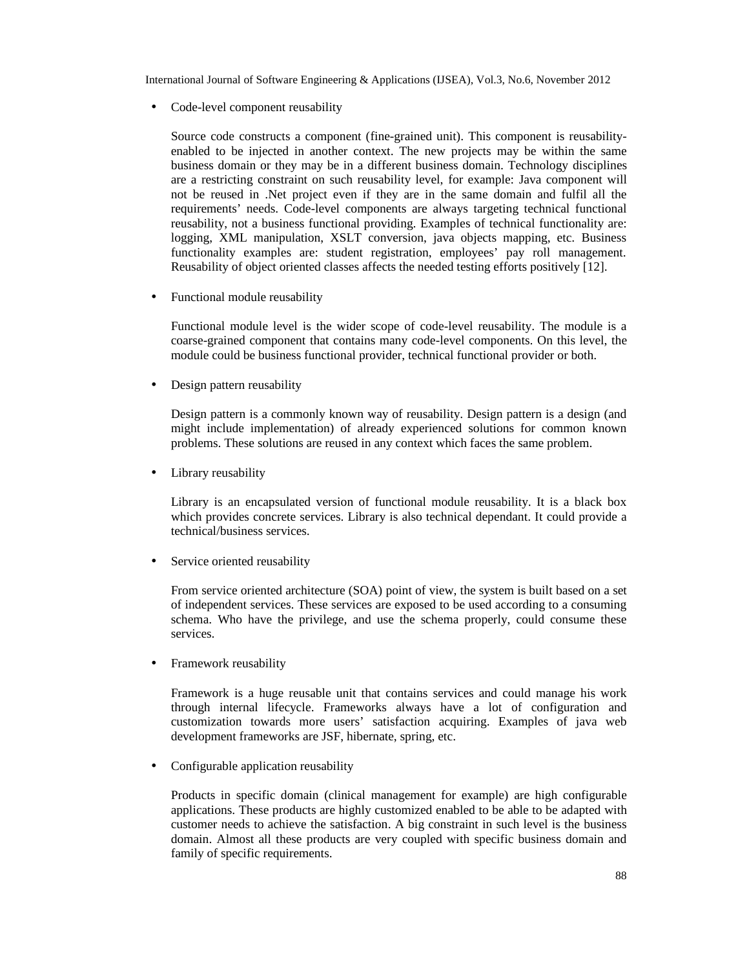• Code-level component reusability

Source code constructs a component (fine-grained unit). This component is reusabilityenabled to be injected in another context. The new projects may be within the same business domain or they may be in a different business domain. Technology disciplines are a restricting constraint on such reusability level, for example: Java component will not be reused in .Net project even if they are in the same domain and fulfil all the requirements' needs. Code-level components are always targeting technical functional reusability, not a business functional providing. Examples of technical functionality are: logging, XML manipulation, XSLT conversion, java objects mapping, etc. Business functionality examples are: student registration, employees' pay roll management. Reusability of object oriented classes affects the needed testing efforts positively [12].

• Functional module reusability

Functional module level is the wider scope of code-level reusability. The module is a coarse-grained component that contains many code-level components. On this level, the module could be business functional provider, technical functional provider or both.

• Design pattern reusability

Design pattern is a commonly known way of reusability. Design pattern is a design (and might include implementation) of already experienced solutions for common known problems. These solutions are reused in any context which faces the same problem.

• Library reusability

Library is an encapsulated version of functional module reusability. It is a black box which provides concrete services. Library is also technical dependant. It could provide a technical/business services.

Service oriented reusability

From service oriented architecture (SOA) point of view, the system is built based on a set of independent services. These services are exposed to be used according to a consuming schema. Who have the privilege, and use the schema properly, could consume these services.

• Framework reusability

Framework is a huge reusable unit that contains services and could manage his work through internal lifecycle. Frameworks always have a lot of configuration and customization towards more users' satisfaction acquiring. Examples of java web development frameworks are JSF, hibernate, spring, etc.

• Configurable application reusability

Products in specific domain (clinical management for example) are high configurable applications. These products are highly customized enabled to be able to be adapted with customer needs to achieve the satisfaction. A big constraint in such level is the business domain. Almost all these products are very coupled with specific business domain and family of specific requirements.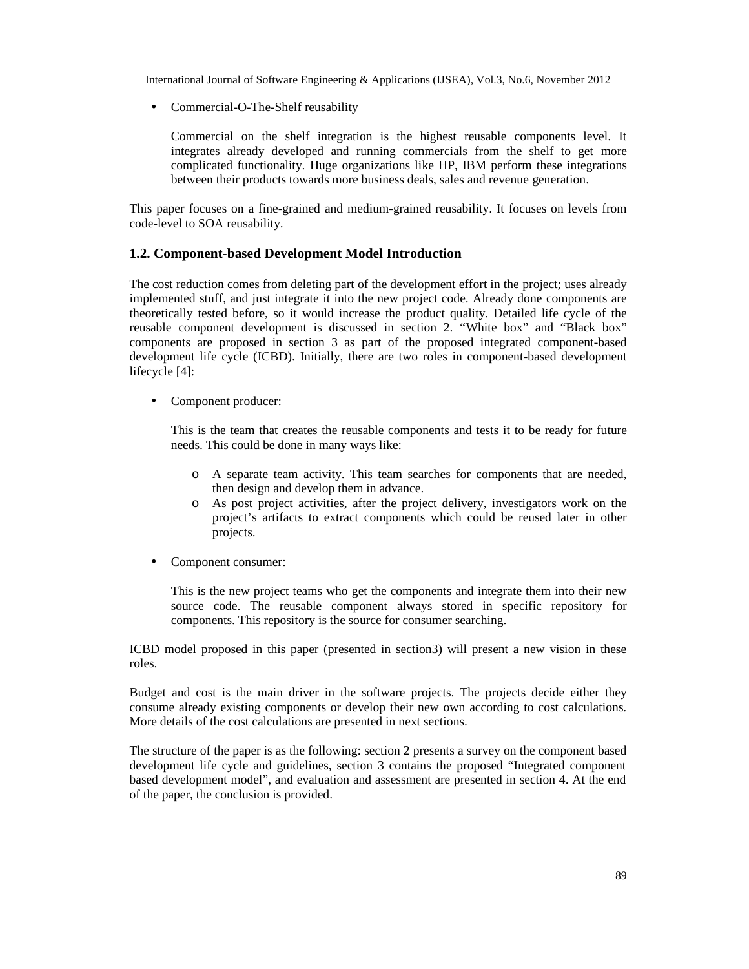• Commercial-O-The-Shelf reusability

Commercial on the shelf integration is the highest reusable components level. It integrates already developed and running commercials from the shelf to get more complicated functionality. Huge organizations like HP, IBM perform these integrations between their products towards more business deals, sales and revenue generation.

This paper focuses on a fine-grained and medium-grained reusability. It focuses on levels from code-level to SOA reusability.

#### **1.2. Component-based Development Model Introduction**

The cost reduction comes from deleting part of the development effort in the project; uses already implemented stuff, and just integrate it into the new project code. Already done components are theoretically tested before, so it would increase the product quality. Detailed life cycle of the reusable component development is discussed in section 2. "White box" and "Black box" components are proposed in section 3 as part of the proposed integrated component-based development life cycle (ICBD). Initially, there are two roles in component-based development lifecycle [4]:

• Component producer:

This is the team that creates the reusable components and tests it to be ready for future needs. This could be done in many ways like:

- o A separate team activity. This team searches for components that are needed, then design and develop them in advance.
- o As post project activities, after the project delivery, investigators work on the project's artifacts to extract components which could be reused later in other projects.
- Component consumer:

This is the new project teams who get the components and integrate them into their new source code. The reusable component always stored in specific repository for components. This repository is the source for consumer searching.

ICBD model proposed in this paper (presented in section3) will present a new vision in these roles.

Budget and cost is the main driver in the software projects. The projects decide either they consume already existing components or develop their new own according to cost calculations. More details of the cost calculations are presented in next sections.

The structure of the paper is as the following: section 2 presents a survey on the component based development life cycle and guidelines, section 3 contains the proposed "Integrated component based development model", and evaluation and assessment are presented in section 4. At the end of the paper, the conclusion is provided.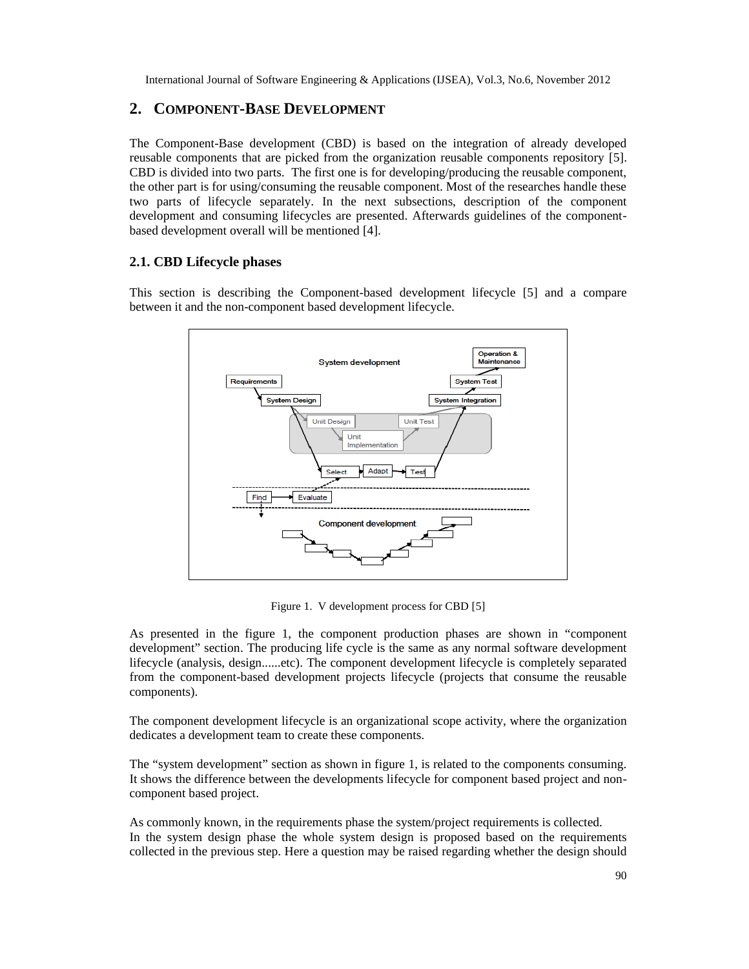#### **2. COMPONENT-BASE DEVELOPMENT**

The Component-Base development (CBD) is based on the integration of already developed reusable components that are picked from the organization reusable components repository [5]. CBD is divided into two parts. The first one is for developing/producing the reusable component, the other part is for using/consuming the reusable component. Most of the researches handle these two parts of lifecycle separately. In the next subsections, description of the component development and consuming lifecycles are presented. Afterwards guidelines of the componentbased development overall will be mentioned [4].

#### **2.1. CBD Lifecycle phases**

This section is describing the Component-based development lifecycle [5] and a compare between it and the non-component based development lifecycle.



Figure 1. V development process for CBD [5]

As presented in the figure 1, the component production phases are shown in "component development" section. The producing life cycle is the same as any normal software development lifecycle (analysis, design......etc). The component development lifecycle is completely separated from the component-based development projects lifecycle (projects that consume the reusable components).

The component development lifecycle is an organizational scope activity, where the organization dedicates a development team to create these components.

The "system development" section as shown in figure 1, is related to the components consuming. It shows the difference between the developments lifecycle for component based project and noncomponent based project.

As commonly known, in the requirements phase the system/project requirements is collected. In the system design phase the whole system design is proposed based on the requirements collected in the previous step. Here a question may be raised regarding whether the design should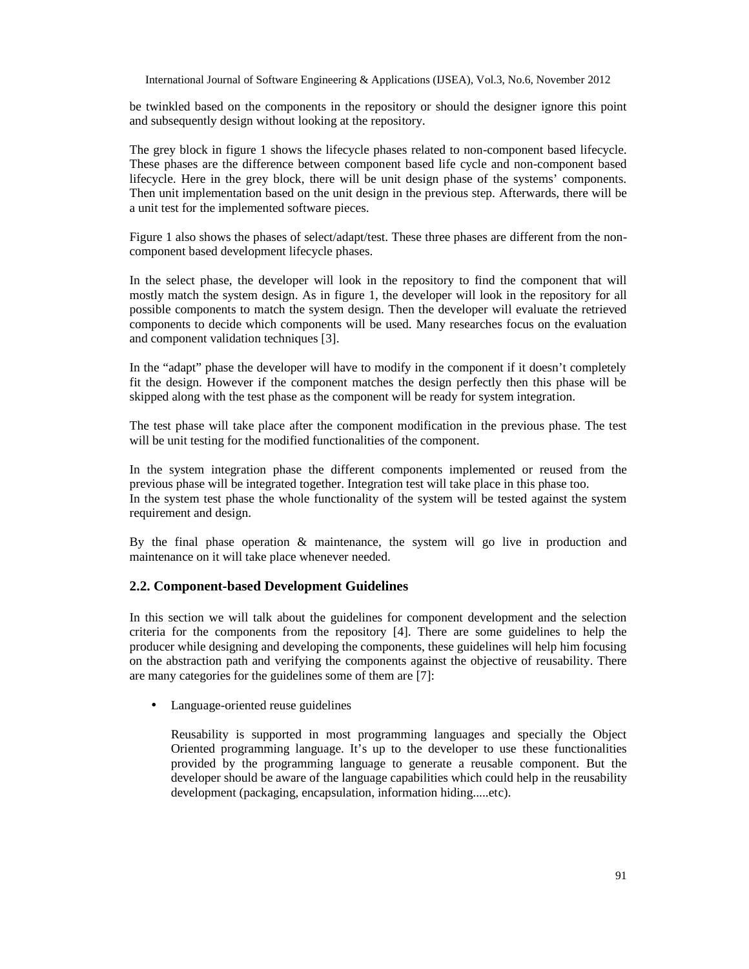be twinkled based on the components in the repository or should the designer ignore this point and subsequently design without looking at the repository.

The grey block in figure 1 shows the lifecycle phases related to non-component based lifecycle. These phases are the difference between component based life cycle and non-component based lifecycle. Here in the grey block, there will be unit design phase of the systems' components. Then unit implementation based on the unit design in the previous step. Afterwards, there will be a unit test for the implemented software pieces.

Figure 1 also shows the phases of select/adapt/test. These three phases are different from the noncomponent based development lifecycle phases.

In the select phase, the developer will look in the repository to find the component that will mostly match the system design. As in figure 1, the developer will look in the repository for all possible components to match the system design. Then the developer will evaluate the retrieved components to decide which components will be used. Many researches focus on the evaluation and component validation techniques [3].

In the "adapt" phase the developer will have to modify in the component if it doesn't completely fit the design. However if the component matches the design perfectly then this phase will be skipped along with the test phase as the component will be ready for system integration.

The test phase will take place after the component modification in the previous phase. The test will be unit testing for the modified functionalities of the component.

In the system integration phase the different components implemented or reused from the previous phase will be integrated together. Integration test will take place in this phase too. In the system test phase the whole functionality of the system will be tested against the system requirement and design.

By the final phase operation & maintenance, the system will go live in production and maintenance on it will take place whenever needed.

#### **2.2. Component-based Development Guidelines**

In this section we will talk about the guidelines for component development and the selection criteria for the components from the repository [4]. There are some guidelines to help the producer while designing and developing the components, these guidelines will help him focusing on the abstraction path and verifying the components against the objective of reusability. There are many categories for the guidelines some of them are [7]:

• Language-oriented reuse guidelines

Reusability is supported in most programming languages and specially the Object Oriented programming language. It's up to the developer to use these functionalities provided by the programming language to generate a reusable component. But the developer should be aware of the language capabilities which could help in the reusability development (packaging, encapsulation, information hiding.....etc).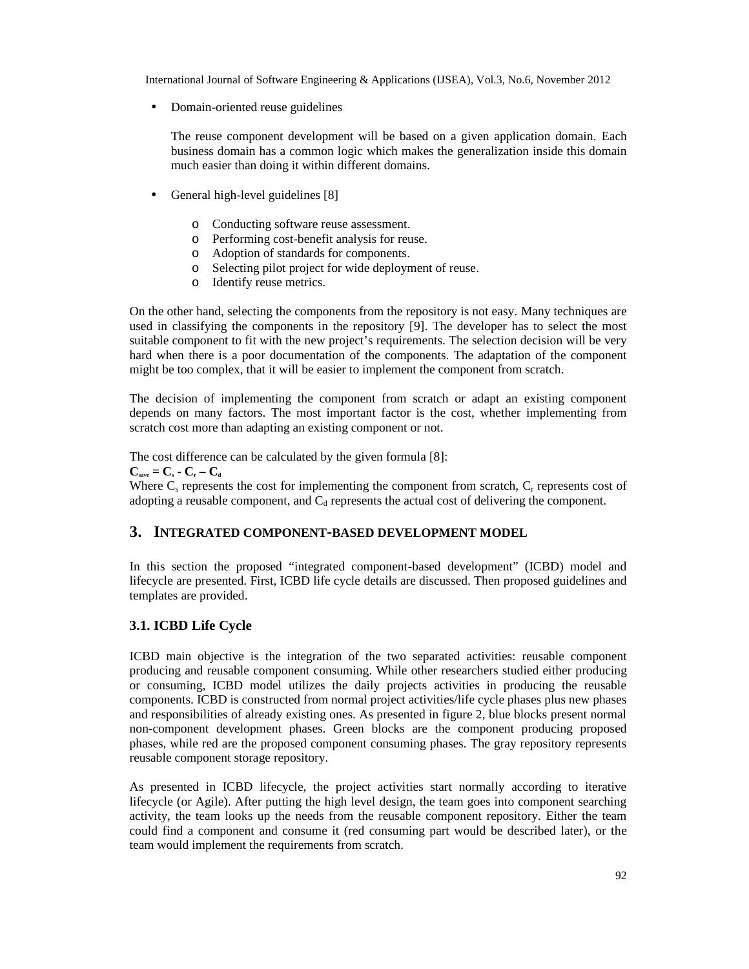• Domain-oriented reuse guidelines

The reuse component development will be based on a given application domain. Each business domain has a common logic which makes the generalization inside this domain much easier than doing it within different domains.

- General high-level guidelines [8]
	- o Conducting software reuse assessment.
	- o Performing cost-benefit analysis for reuse.
	- o Adoption of standards for components.
	- o Selecting pilot project for wide deployment of reuse.
	- o Identify reuse metrics.

On the other hand, selecting the components from the repository is not easy. Many techniques are used in classifying the components in the repository [9]. The developer has to select the most suitable component to fit with the new project's requirements. The selection decision will be very hard when there is a poor documentation of the components. The adaptation of the component might be too complex, that it will be easier to implement the component from scratch.

The decision of implementing the component from scratch or adapt an existing component depends on many factors. The most important factor is the cost, whether implementing from scratch cost more than adapting an existing component or not.

The cost difference can be calculated by the given formula [8]:  $C_{\text{save}} = C_{\text{s}} - C_{\text{r}} - C_{\text{d}}$ 

Where  $C_s$  represents the cost for implementing the component from scratch,  $C_r$  represents cost of adopting a reusable component, and  $C_d$  represents the actual cost of delivering the component.

#### **3. INTEGRATED COMPONENT-BASED DEVELOPMENT MODEL**

In this section the proposed "integrated component-based development" (ICBD) model and lifecycle are presented. First, ICBD life cycle details are discussed. Then proposed guidelines and templates are provided.

#### **3.1. ICBD Life Cycle**

ICBD main objective is the integration of the two separated activities: reusable component producing and reusable component consuming. While other researchers studied either producing or consuming, ICBD model utilizes the daily projects activities in producing the reusable components. ICBD is constructed from normal project activities/life cycle phases plus new phases and responsibilities of already existing ones. As presented in figure 2, blue blocks present normal non-component development phases. Green blocks are the component producing proposed phases, while red are the proposed component consuming phases. The gray repository represents reusable component storage repository.

As presented in ICBD lifecycle, the project activities start normally according to iterative lifecycle (or Agile). After putting the high level design, the team goes into component searching activity, the team looks up the needs from the reusable component repository. Either the team could find a component and consume it (red consuming part would be described later), or the team would implement the requirements from scratch.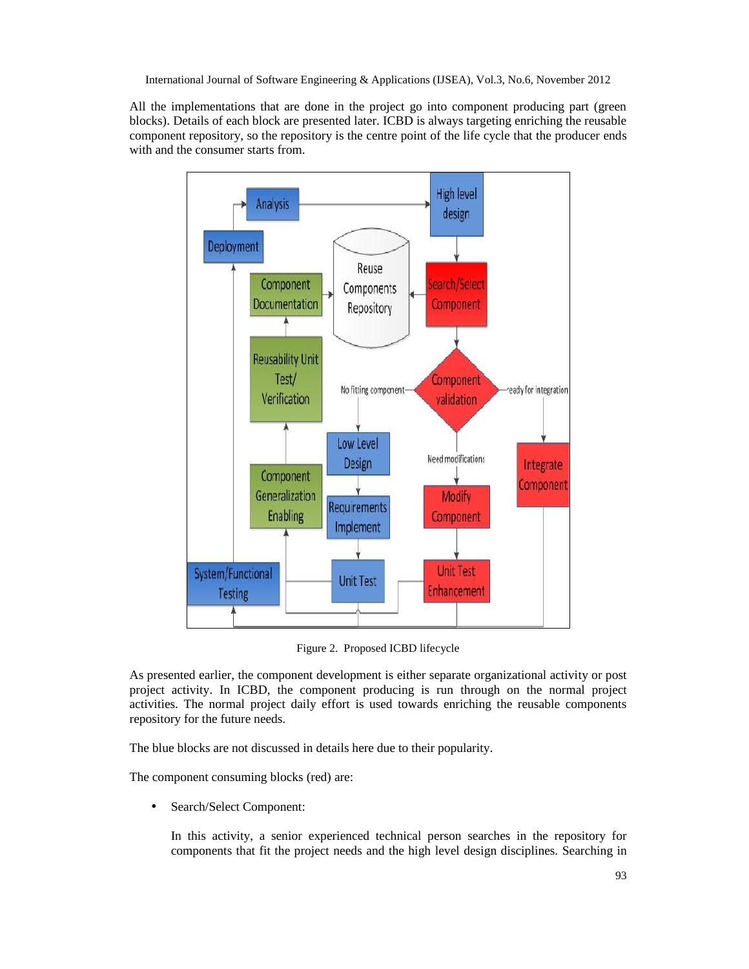All the implementations that are done in the project go into component producing part (green blocks). Details of each block are presented later. ICBD is always targeting enriching the reusable component repository, so the repository is the centre point of the life cycle that the producer ends with and the consumer starts from.



Figure 2. Proposed ICBD lifecycle

As presented earlier, the component development is either separate organizational activity or post project activity. In ICBD, the component producing is run through on the normal project activities. The normal project daily effort is used towards enriching the reusable components repository for the future needs.

The blue blocks are not discussed in details here due to their popularity.

The component consuming blocks (red) are:

Search/Select Component:

In this activity, a senior experienced technical person searches in the repository for components that fit the project needs and the high level design disciplines. Searching in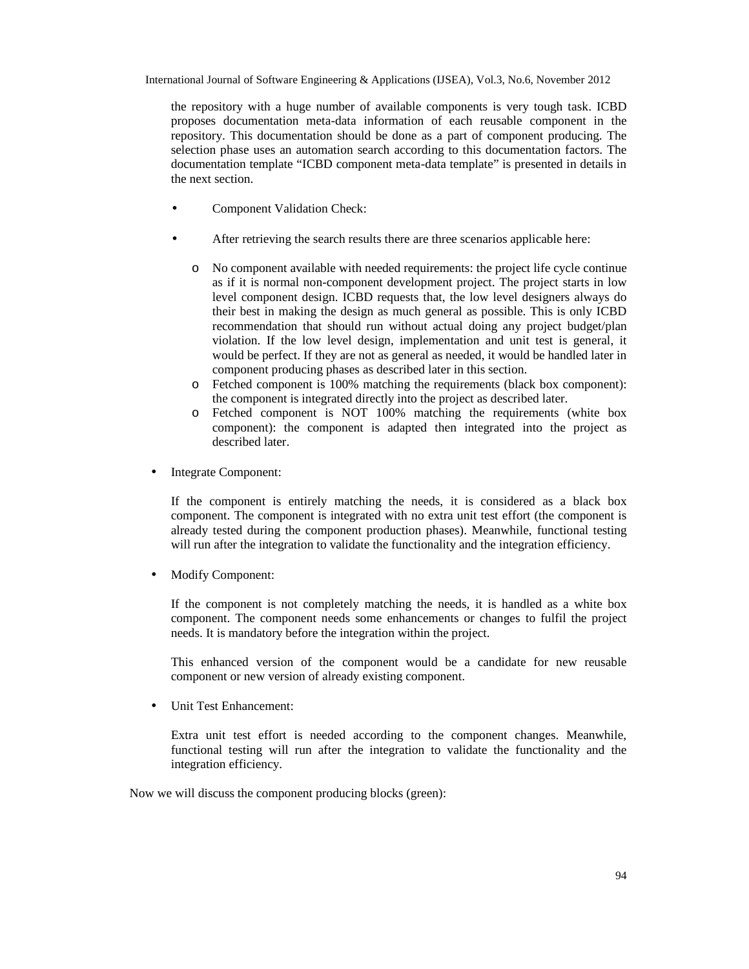the repository with a huge number of available components is very tough task. ICBD proposes documentation meta-data information of each reusable component in the repository. This documentation should be done as a part of component producing. The selection phase uses an automation search according to this documentation factors. The documentation template "ICBD component meta-data template" is presented in details in the next section.

- Component Validation Check:
- After retrieving the search results there are three scenarios applicable here:
	- o No component available with needed requirements: the project life cycle continue as if it is normal non-component development project. The project starts in low level component design. ICBD requests that, the low level designers always do their best in making the design as much general as possible. This is only ICBD recommendation that should run without actual doing any project budget/plan violation. If the low level design, implementation and unit test is general, it would be perfect. If they are not as general as needed, it would be handled later in component producing phases as described later in this section.
	- o Fetched component is 100% matching the requirements (black box component): the component is integrated directly into the project as described later.
	- o Fetched component is NOT 100% matching the requirements (white box component): the component is adapted then integrated into the project as described later.
- Integrate Component:

If the component is entirely matching the needs, it is considered as a black box component. The component is integrated with no extra unit test effort (the component is already tested during the component production phases). Meanwhile, functional testing will run after the integration to validate the functionality and the integration efficiency.

• Modify Component:

If the component is not completely matching the needs, it is handled as a white box component. The component needs some enhancements or changes to fulfil the project needs. It is mandatory before the integration within the project.

This enhanced version of the component would be a candidate for new reusable component or new version of already existing component.

• Unit Test Enhancement:

Extra unit test effort is needed according to the component changes. Meanwhile, functional testing will run after the integration to validate the functionality and the integration efficiency.

Now we will discuss the component producing blocks (green):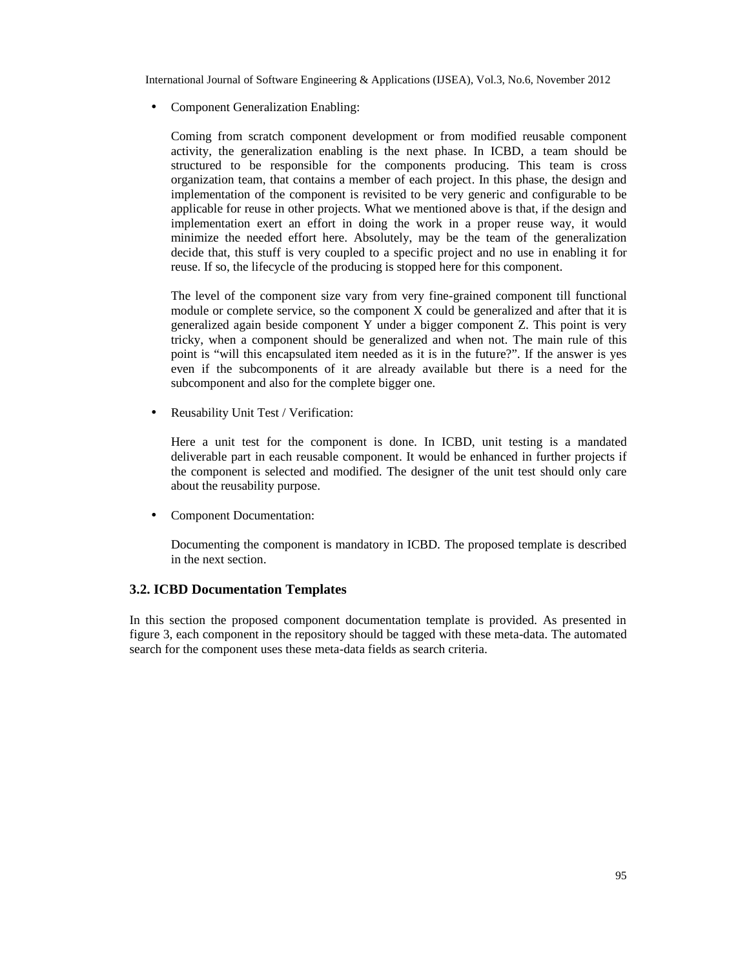• Component Generalization Enabling:

Coming from scratch component development or from modified reusable component activity, the generalization enabling is the next phase. In ICBD, a team should be structured to be responsible for the components producing. This team is cross organization team, that contains a member of each project. In this phase, the design and implementation of the component is revisited to be very generic and configurable to be applicable for reuse in other projects. What we mentioned above is that, if the design and implementation exert an effort in doing the work in a proper reuse way, it would minimize the needed effort here. Absolutely, may be the team of the generalization decide that, this stuff is very coupled to a specific project and no use in enabling it for reuse. If so, the lifecycle of the producing is stopped here for this component.

The level of the component size vary from very fine-grained component till functional module or complete service, so the component X could be generalized and after that it is generalized again beside component Y under a bigger component Z. This point is very tricky, when a component should be generalized and when not. The main rule of this point is "will this encapsulated item needed as it is in the future?". If the answer is yes even if the subcomponents of it are already available but there is a need for the subcomponent and also for the complete bigger one.

• Reusability Unit Test / Verification:

Here a unit test for the component is done. In ICBD, unit testing is a mandated deliverable part in each reusable component. It would be enhanced in further projects if the component is selected and modified. The designer of the unit test should only care about the reusability purpose.

• Component Documentation:

Documenting the component is mandatory in ICBD. The proposed template is described in the next section.

#### **3.2. ICBD Documentation Templates**

In this section the proposed component documentation template is provided. As presented in figure 3, each component in the repository should be tagged with these meta-data. The automated search for the component uses these meta-data fields as search criteria.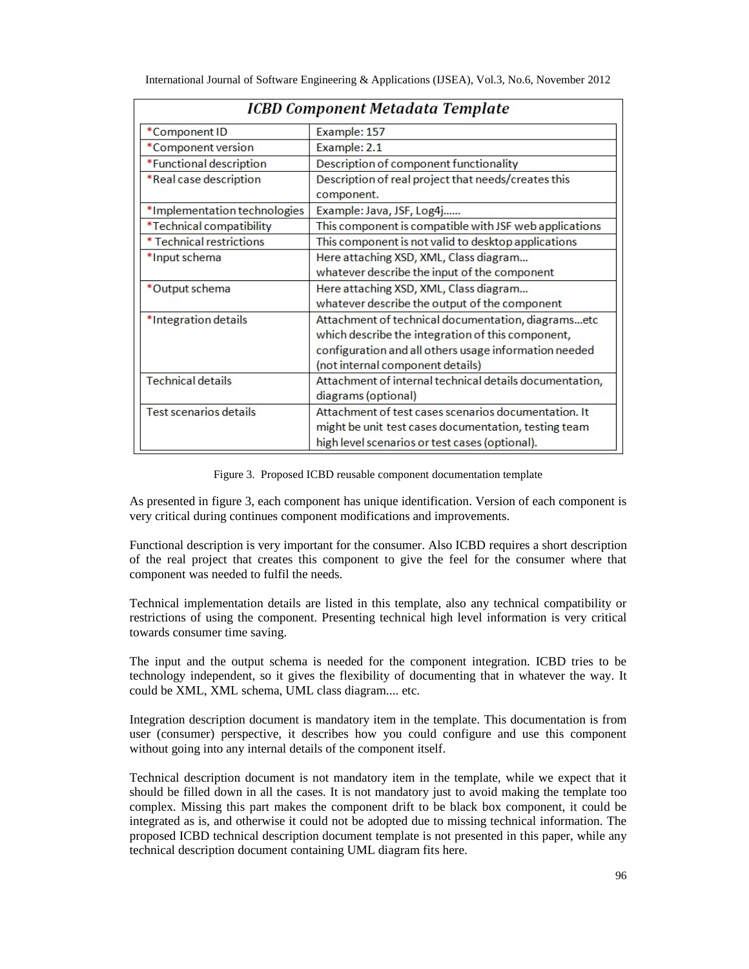| ICBD Component Metadata Template |                                                         |
|----------------------------------|---------------------------------------------------------|
| *Component ID                    | Example: 157                                            |
| *Component version               | Example: 2.1                                            |
| *Functional description          | Description of component functionality                  |
| *Real case description           | Description of real project that needs/creates this     |
|                                  | component.                                              |
| *Implementation technologies     | Example: Java, JSF, Log4j                               |
| *Technical compatibility         | This component is compatible with JSF web applications  |
| * Technical restrictions         | This component is not valid to desktop applications     |
| *Input schema                    | Here attaching XSD, XML, Class diagram                  |
|                                  | whatever describe the input of the component            |
| *Output schema                   | Here attaching XSD, XML, Class diagram                  |
|                                  | whatever describe the output of the component           |
| *Integration details             | Attachment of technical documentation, diagramsetc      |
|                                  | which describe the integration of this component,       |
|                                  | configuration and all others usage information needed   |
|                                  | (not internal component details)                        |
| <b>Technical details</b>         | Attachment of internal technical details documentation, |
|                                  | diagrams (optional)                                     |
| <b>Test scenarios details</b>    | Attachment of test cases scenarios documentation. It    |
|                                  | might be unit test cases documentation, testing team    |
|                                  | high level scenarios or test cases (optional).          |

Figure 3. Proposed ICBD reusable component documentation template

As presented in figure 3, each component has unique identification. Version of each component is very critical during continues component modifications and improvements.

Functional description is very important for the consumer. Also ICBD requires a short description of the real project that creates this component to give the feel for the consumer where that component was needed to fulfil the needs.

Technical implementation details are listed in this template, also any technical compatibility or restrictions of using the component. Presenting technical high level information is very critical towards consumer time saving.

The input and the output schema is needed for the component integration. ICBD tries to be technology independent, so it gives the flexibility of documenting that in whatever the way. It could be XML, XML schema, UML class diagram.... etc.

Integration description document is mandatory item in the template. This documentation is from user (consumer) perspective, it describes how you could configure and use this component without going into any internal details of the component itself.

Technical description document is not mandatory item in the template, while we expect that it should be filled down in all the cases. It is not mandatory just to avoid making the template too complex. Missing this part makes the component drift to be black box component, it could be integrated as is, and otherwise it could not be adopted due to missing technical information. The proposed ICBD technical description document template is not presented in this paper, while any technical description document containing UML diagram fits here.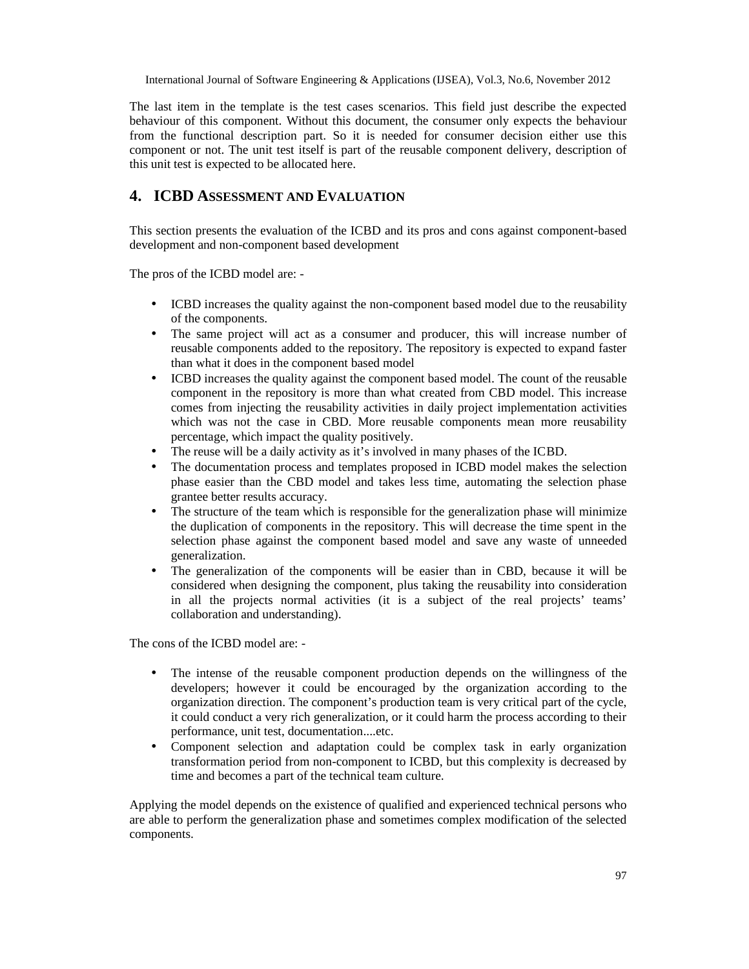The last item in the template is the test cases scenarios. This field just describe the expected behaviour of this component. Without this document, the consumer only expects the behaviour from the functional description part. So it is needed for consumer decision either use this component or not. The unit test itself is part of the reusable component delivery, description of this unit test is expected to be allocated here.

#### **4. ICBD ASSESSMENT AND EVALUATION**

This section presents the evaluation of the ICBD and its pros and cons against component-based development and non-component based development

The pros of the ICBD model are: -

- ICBD increases the quality against the non-component based model due to the reusability of the components.
- The same project will act as a consumer and producer, this will increase number of reusable components added to the repository. The repository is expected to expand faster than what it does in the component based model
- ICBD increases the quality against the component based model. The count of the reusable component in the repository is more than what created from CBD model. This increase comes from injecting the reusability activities in daily project implementation activities which was not the case in CBD. More reusable components mean more reusability percentage, which impact the quality positively.
- The reuse will be a daily activity as it's involved in many phases of the ICBD.
- The documentation process and templates proposed in ICBD model makes the selection phase easier than the CBD model and takes less time, automating the selection phase grantee better results accuracy.
- The structure of the team which is responsible for the generalization phase will minimize the duplication of components in the repository. This will decrease the time spent in the selection phase against the component based model and save any waste of unneeded generalization.
- The generalization of the components will be easier than in CBD, because it will be considered when designing the component, plus taking the reusability into consideration in all the projects normal activities (it is a subject of the real projects' teams' collaboration and understanding).

The cons of the ICBD model are: -

- The intense of the reusable component production depends on the willingness of the developers; however it could be encouraged by the organization according to the organization direction. The component's production team is very critical part of the cycle, it could conduct a very rich generalization, or it could harm the process according to their performance, unit test, documentation....etc.
- Component selection and adaptation could be complex task in early organization transformation period from non-component to ICBD, but this complexity is decreased by time and becomes a part of the technical team culture.

Applying the model depends on the existence of qualified and experienced technical persons who are able to perform the generalization phase and sometimes complex modification of the selected components.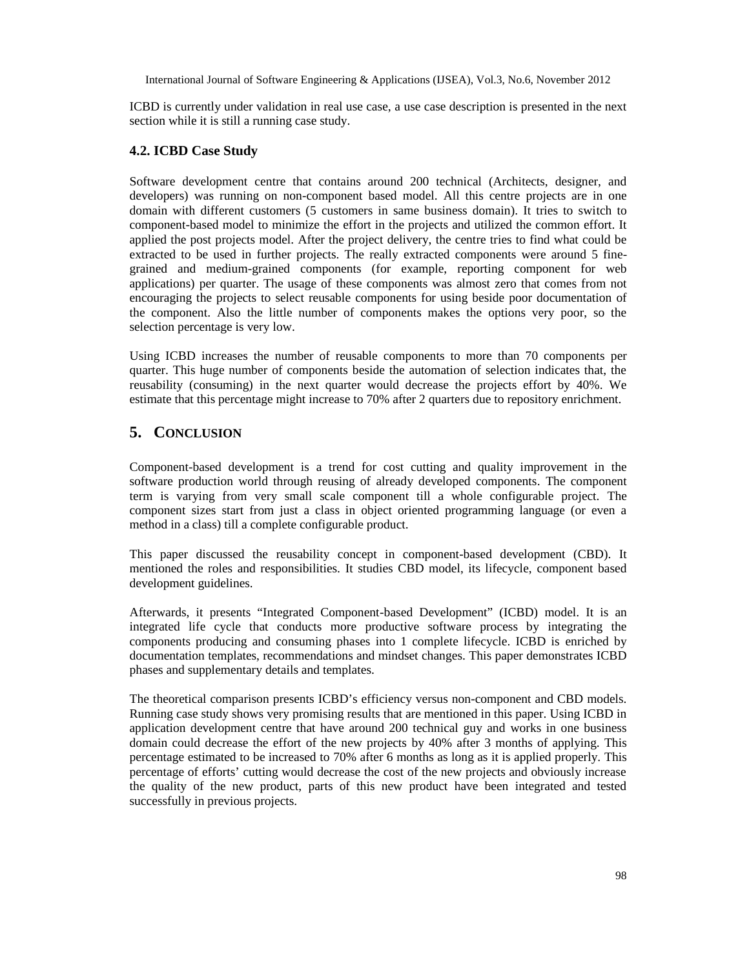ICBD is currently under validation in real use case, a use case description is presented in the next section while it is still a running case study.

#### **4.2. ICBD Case Study**

Software development centre that contains around 200 technical (Architects, designer, and developers) was running on non-component based model. All this centre projects are in one domain with different customers (5 customers in same business domain). It tries to switch to component-based model to minimize the effort in the projects and utilized the common effort. It applied the post projects model. After the project delivery, the centre tries to find what could be extracted to be used in further projects. The really extracted components were around 5 finegrained and medium-grained components (for example, reporting component for web applications) per quarter. The usage of these components was almost zero that comes from not encouraging the projects to select reusable components for using beside poor documentation of the component. Also the little number of components makes the options very poor, so the selection percentage is very low.

Using ICBD increases the number of reusable components to more than 70 components per quarter. This huge number of components beside the automation of selection indicates that, the reusability (consuming) in the next quarter would decrease the projects effort by 40%. We estimate that this percentage might increase to 70% after 2 quarters due to repository enrichment.

### **5. CONCLUSION**

Component-based development is a trend for cost cutting and quality improvement in the software production world through reusing of already developed components. The component term is varying from very small scale component till a whole configurable project. The component sizes start from just a class in object oriented programming language (or even a method in a class) till a complete configurable product.

This paper discussed the reusability concept in component-based development (CBD). It mentioned the roles and responsibilities. It studies CBD model, its lifecycle, component based development guidelines.

Afterwards, it presents "Integrated Component-based Development" (ICBD) model. It is an integrated life cycle that conducts more productive software process by integrating the components producing and consuming phases into 1 complete lifecycle. ICBD is enriched by documentation templates, recommendations and mindset changes. This paper demonstrates ICBD phases and supplementary details and templates.

The theoretical comparison presents ICBD's efficiency versus non-component and CBD models. Running case study shows very promising results that are mentioned in this paper. Using ICBD in application development centre that have around 200 technical guy and works in one business domain could decrease the effort of the new projects by 40% after 3 months of applying. This percentage estimated to be increased to 70% after 6 months as long as it is applied properly. This percentage of efforts' cutting would decrease the cost of the new projects and obviously increase the quality of the new product, parts of this new product have been integrated and tested successfully in previous projects.